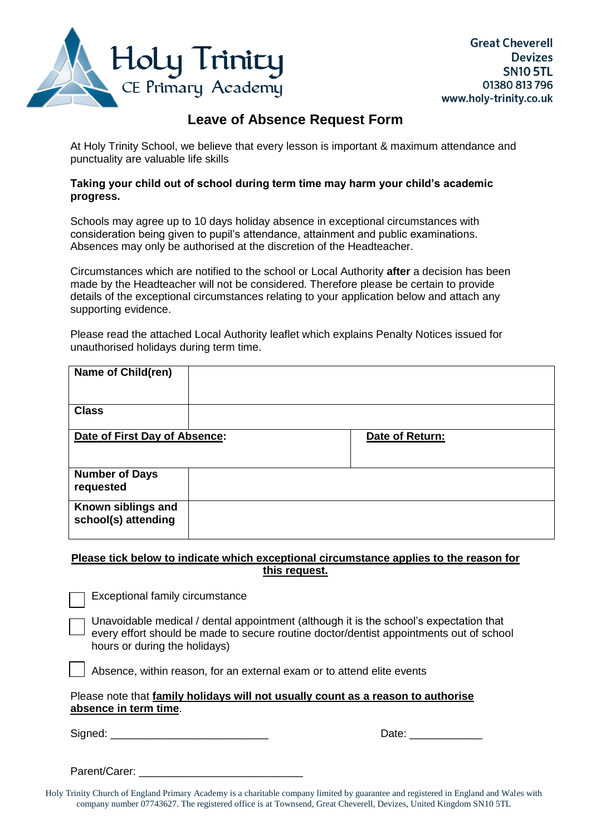

# **Leave of Absence Request Form**

At Holy Trinity School, we believe that every lesson is important & maximum attendance and punctuality are valuable life skills

#### **Taking your child out of school during term time may harm your child's academic progress.**

Schools may agree up to 10 days holiday absence in exceptional circumstances with consideration being given to pupil's attendance, attainment and public examinations. Absences may only be authorised at the discretion of the Headteacher.

Circumstances which are notified to the school or Local Authority **after** a decision has been made by the Headteacher will not be considered. Therefore please be certain to provide details of the exceptional circumstances relating to your application below and attach any supporting evidence.

Please read the attached Local Authority leaflet which explains Penalty Notices issued for unauthorised holidays during term time.

| Name of Child(ren)                        |                 |  |
|-------------------------------------------|-----------------|--|
| <b>Class</b>                              |                 |  |
| Date of First Day of Absence:             | Date of Return: |  |
| <b>Number of Days</b><br>requested        |                 |  |
| Known siblings and<br>school(s) attending |                 |  |

### **Please tick below to indicate which exceptional circumstance applies to the reason for this request.**

Exceptional family circumstance

Unavoidable medical / dental appointment (although it is the school's expectation that every effort should be made to secure routine doctor/dentist appointments out of school hours or during the holidays)

Absence, within reason, for an external exam or to attend elite events

#### Please note that **family holidays will not usually count as a reason to authorise absence in term time**.

Signed: \_\_\_\_\_\_\_\_\_\_\_\_\_\_\_\_\_\_\_\_\_\_\_\_\_\_ Date: \_\_\_\_\_\_\_\_\_\_\_\_

Parent/Carer:

Holy Trinity Church of England Primary Academy is a charitable company limited by guarantee and registered in England and Wales with company number 07743627. The registered office is at Townsend, Great Cheverell, Devizes, United Kingdom SN10 5TL